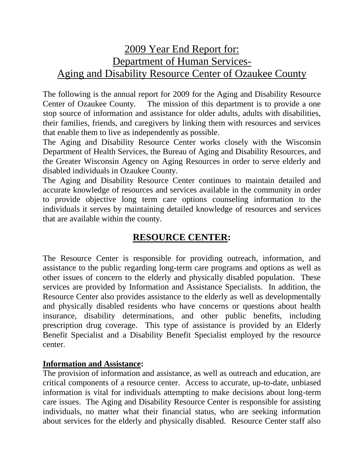# 2009 Year End Report for: Department of Human Services-Aging and Disability Resource Center of Ozaukee County

The following is the annual report for 2009 for the Aging and Disability Resource Center of Ozaukee County. The mission of this department is to provide a one stop source of information and assistance for older adults, adults with disabilities, their families, friends, and caregivers by linking them with resources and services that enable them to live as independently as possible.

The Aging and Disability Resource Center works closely with the Wisconsin Department of Health Services, the Bureau of Aging and Disability Resources, and the Greater Wisconsin Agency on Aging Resources in order to serve elderly and disabled individuals in Ozaukee County.

The Aging and Disability Resource Center continues to maintain detailed and accurate knowledge of resources and services available in the community in order to provide objective long term care options counseling information to the individuals it serves by maintaining detailed knowledge of resources and services that are available within the county.

## **RESOURCE CENTER:**

The Resource Center is responsible for providing outreach, information, and assistance to the public regarding long-term care programs and options as well as other issues of concern to the elderly and physically disabled population. These services are provided by Information and Assistance Specialists. In addition, the Resource Center also provides assistance to the elderly as well as developmentally and physically disabled residents who have concerns or questions about health insurance, disability determinations, and other public benefits, including prescription drug coverage. This type of assistance is provided by an Elderly Benefit Specialist and a Disability Benefit Specialist employed by the resource center.

#### **Information and Assistance:**

The provision of information and assistance, as well as outreach and education, are critical components of a resource center. Access to accurate, up-to-date, unbiased information is vital for individuals attempting to make decisions about long-term care issues. The Aging and Disability Resource Center is responsible for assisting individuals, no matter what their financial status, who are seeking information about services for the elderly and physically disabled. Resource Center staff also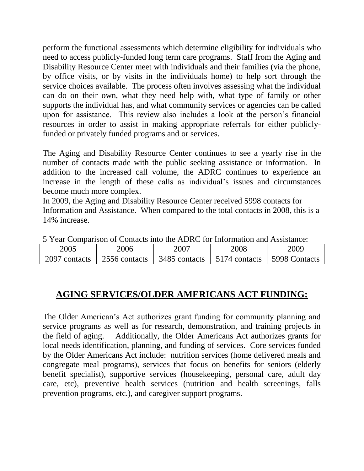perform the functional assessments which determine eligibility for individuals who need to access publicly-funded long term care programs. Staff from the Aging and Disability Resource Center meet with individuals and their families (via the phone, by office visits, or by visits in the individuals home) to help sort through the service choices available. The process often involves assessing what the individual can do on their own, what they need help with, what type of family or other supports the individual has, and what community services or agencies can be called upon for assistance. This review also includes a look at the person's financial resources in order to assist in making appropriate referrals for either publiclyfunded or privately funded programs and or services.

The Aging and Disability Resource Center continues to see a yearly rise in the number of contacts made with the public seeking assistance or information. In addition to the increased call volume, the ADRC continues to experience an increase in the length of these calls as individual's issues and circumstances become much more complex.

In 2009, the Aging and Disability Resource Center received 5998 contacts for Information and Assistance. When compared to the total contacts in 2008, this is a 14% increase.

| 2005          | 2006                   | 2007          | 2008          | 2009          |
|---------------|------------------------|---------------|---------------|---------------|
| 2097 contacts | $\sqrt{2556}$ contacts | 3485 contacts | 5174 contacts | 5998 Contacts |

5 Year Comparison of Contacts into the ADRC for Information and Assistance:

#### **AGING SERVICES/OLDER AMERICANS ACT FUNDING:**

The Older American's Act authorizes grant funding for community planning and service programs as well as for research, demonstration, and training projects in the field of aging. Additionally, the Older Americans Act authorizes grants for local needs identification, planning, and funding of services. Core services funded by the Older Americans Act include: nutrition services (home delivered meals and congregate meal programs), services that focus on benefits for seniors (elderly benefit specialist), supportive services (housekeeping, personal care, adult day care, etc), preventive health services (nutrition and health screenings, falls prevention programs, etc.), and caregiver support programs.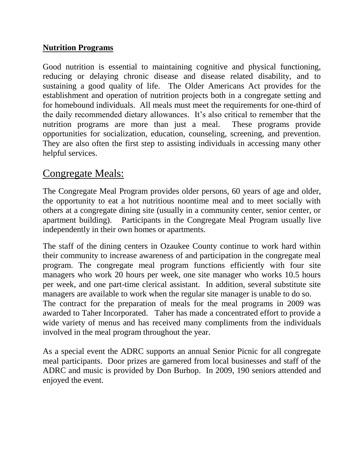#### **Nutrition Programs**

Good nutrition is essential to maintaining cognitive and physical functioning, reducing or delaying chronic disease and disease related disability, and to sustaining a good quality of life. The Older Americans Act provides for the establishment and operation of nutrition projects both in a congregate setting and for homebound individuals. All meals must meet the requirements for one-third of the daily recommended dietary allowances. It's also critical to remember that the nutrition programs are more than just a meal. These programs provide opportunities for socialization, education, counseling, screening, and prevention. They are also often the first step to assisting individuals in accessing many other helpful services.

## Congregate Meals:

The Congregate Meal Program provides older persons, 60 years of age and older, the opportunity to eat a hot nutritious noontime meal and to meet socially with others at a congregate dining site (usually in a community center, senior center, or apartment building). Participants in the Congregate Meal Program usually live independently in their own homes or apartments.

The staff of the dining centers in Ozaukee County continue to work hard within their community to increase awareness of and participation in the congregate meal program. The congregate meal program functions efficiently with four site managers who work 20 hours per week, one site manager who works 10.5 hours per week, and one part-time clerical assistant. In addition, several substitute site managers are available to work when the regular site manager is unable to do so. The contract for the preparation of meals for the meal programs in 2009 was awarded to Taher Incorporated. Taher has made a concentrated effort to provide a wide variety of menus and has received many compliments from the individuals involved in the meal program throughout the year.

As a special event the ADRC supports an annual Senior Picnic for all congregate meal participants. Door prizes are garnered from local businesses and staff of the ADRC and music is provided by Don Burhop. In 2009, 190 seniors attended and enjoyed the event.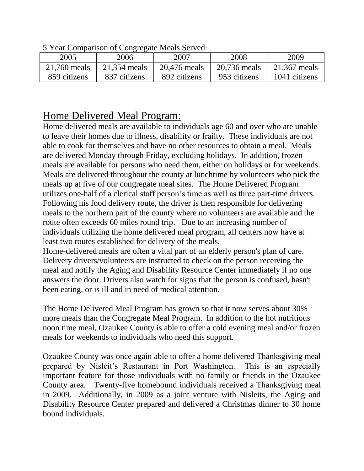| $\sigma$ real companion of congregate means better. |              |              |              |               |
|-----------------------------------------------------|--------------|--------------|--------------|---------------|
| 2005                                                | 2006         | 2007         | 2008         | 2009          |
| 21,760 meals                                        | 21,354 meals | 20,476 meals | 20,736 meals | 21,367 meals  |
| 859 citizens                                        | 837 citizens | 892 citizens | 953 citizens | 1041 citizens |

5 Year Comparison of Congregate Meals Served:

# Home Delivered Meal Program:

Home delivered meals are available to individuals age 60 and over who are unable to leave their homes due to illness, disability or frailty. These individuals are not able to cook for themselves and have no other resources to obtain a meal. Meals are delivered Monday through Friday, excluding holidays. In addition, frozen meals are available for persons who need them, either on holidays or for weekends. Meals are delivered throughout the county at lunchtime by volunteers who pick the meals up at five of our congregate meal sites. The Home Delivered Program utilizes one-half of a clerical staff person's time as well as three part-time drivers. Following his food delivery route, the driver is then responsible for delivering meals to the northern part of the county where no volunteers are available and the route often exceeds 60 miles round trip. Due to an increasing number of individuals utilizing the home delivered meal program, all centers now have at least two routes established for delivery of the meals.

Home-delivered meals are often a vital part of an elderly person's plan of care. Delivery drivers/volunteers are instructed to check on the person receiving the meal and notify the Aging and Disability Resource Center immediately if no one answers the door. Drivers also watch for signs that the person is confused, hasn't been eating, or is ill and in need of medical attention.

The Home Delivered Meal Program has grown so that it now serves about 30% more meals than the Congregate Meal Program. In addition to the hot nutritious noon time meal, Ozaukee County is able to offer a cold evening meal and/or frozen meals for weekends to individuals who need this support.

Ozaukee County was once again able to offer a home delivered Thanksgiving meal prepared by Nisleit's Restaurant in Port Washington. This is an especially important feature for those individuals with no family or friends in the Ozaukee County area. Twenty-five homebound individuals received a Thanksgiving meal in 2009. Additionally, in 2009 as a joint venture with Nisleits, the Aging and Disability Resource Center prepared and delivered a Christmas dinner to 30 home bound individuals.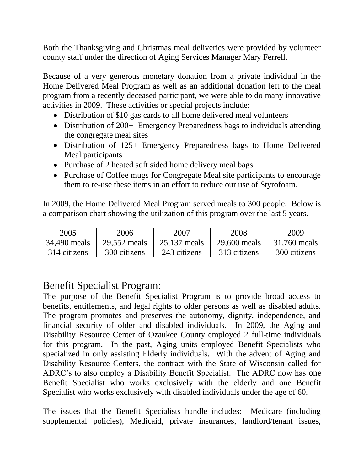Both the Thanksgiving and Christmas meal deliveries were provided by volunteer county staff under the direction of Aging Services Manager Mary Ferrell.

Because of a very generous monetary donation from a private individual in the Home Delivered Meal Program as well as an additional donation left to the meal program from a recently deceased participant, we were able to do many innovative activities in 2009. These activities or special projects include:

- Distribution of \$10 gas cards to all home delivered meal volunteers
- Distribution of 200+ Emergency Preparedness bags to individuals attending the congregate meal sites
- Distribution of 125+ Emergency Preparedness bags to Home Delivered Meal participants
- Purchase of 2 heated soft sided home delivery meal bags
- Purchase of Coffee mugs for Congregate Meal site participants to encourage them to re-use these items in an effort to reduce our use of Styrofoam.

In 2009, the Home Delivered Meal Program served meals to 300 people. Below is a comparison chart showing the utilization of this program over the last 5 years.

| 2005         | 2006         | 2007         | 2008         | 2009         |
|--------------|--------------|--------------|--------------|--------------|
| 34,490 meals | 29,552 meals | 25,137 meals | 29,600 meals | 31,760 meals |
| 314 citizens | 300 citizens | 243 citizens | 313 citizens | 300 citizens |

## Benefit Specialist Program:

The purpose of the Benefit Specialist Program is to provide broad access to benefits, entitlements, and legal rights to older persons as well as disabled adults. The program promotes and preserves the autonomy, dignity, independence, and financial security of older and disabled individuals. In 2009, the Aging and Disability Resource Center of Ozaukee County employed 2 full-time individuals for this program. In the past, Aging units employed Benefit Specialists who specialized in only assisting Elderly individuals. With the advent of Aging and Disability Resource Centers, the contract with the State of Wisconsin called for ADRC's to also employ a Disability Benefit Specialist. The ADRC now has one Benefit Specialist who works exclusively with the elderly and one Benefit Specialist who works exclusively with disabled individuals under the age of 60.

The issues that the Benefit Specialists handle includes: Medicare (including supplemental policies), Medicaid, private insurances, landlord/tenant issues,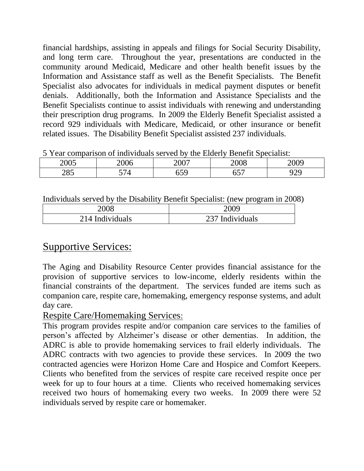financial hardships, assisting in appeals and filings for Social Security Disability, and long term care. Throughout the year, presentations are conducted in the community around Medicaid, Medicare and other health benefit issues by the Information and Assistance staff as well as the Benefit Specialists. The Benefit Specialist also advocates for individuals in medical payment disputes or benefit denials. Additionally, both the Information and Assistance Specialists and the Benefit Specialists continue to assist individuals with renewing and understanding their prescription drug programs. In 2009 the Elderly Benefit Specialist assisted a record 929 individuals with Medicare, Medicaid, or other insurance or benefit related issues. The Disability Benefit Specialist assisted 237 individuals.

| <u>J Teal comparison of mulviquals served by the Elgerry Benefit Specialist.</u> |      |      |      |      |
|----------------------------------------------------------------------------------|------|------|------|------|
| 2005                                                                             | 2006 | 2007 | 2008 | 2009 |
| 285                                                                              | 574  | 559  |      |      |

5 Year comparison of individuals served by the Elderly Benefit Specialist:

Individuals served by the Disability Benefit Specialist: (new program in 2008)

| 2008            | 2009            |
|-----------------|-----------------|
| 214 Individuals | 237 Individuals |

# Supportive Services:

The Aging and Disability Resource Center provides financial assistance for the provision of supportive services to low-income, elderly residents within the financial constraints of the department. The services funded are items such as companion care, respite care, homemaking, emergency response systems, and adult day care.

#### Respite Care/Homemaking Services:

This program provides respite and/or companion care services to the families of person's affected by Alzheimer's disease or other dementias. In addition, the ADRC is able to provide homemaking services to frail elderly individuals. The ADRC contracts with two agencies to provide these services. In 2009 the two contracted agencies were Horizon Home Care and Hospice and Comfort Keepers. Clients who benefited from the services of respite care received respite once per week for up to four hours at a time. Clients who received homemaking services received two hours of homemaking every two weeks. In 2009 there were 52 individuals served by respite care or homemaker.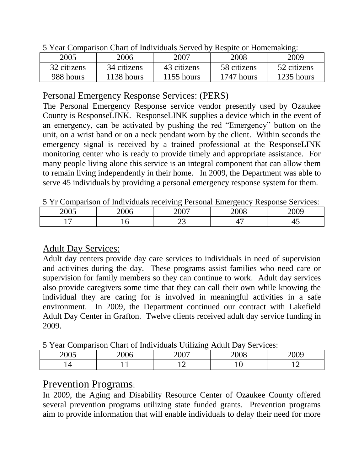| $\sigma$ Tear Comparison Chart of marviolate between $\sigma$ to respite of Homemanns. |              |              |             |             |
|----------------------------------------------------------------------------------------|--------------|--------------|-------------|-------------|
| 2005                                                                                   | 2006         | 2007         | 2008        | 2009        |
| 32 citizens                                                                            | 34 citizens  | 43 citizens  | 58 citizens | 52 citizens |
| 988 hours                                                                              | $1138$ hours | $1155$ hours | 1747 hours  | 1235 hours  |

5 Year Comparison Chart of Individuals Served by Respite or Homemaking:

### Personal Emergency Response Services: (PERS)

The Personal Emergency Response service vendor presently used by Ozaukee County is ResponseLINK. ResponseLINK supplies a device which in the event of an emergency, can be activated by pushing the red "Emergency" button on the unit, on a wrist band or on a neck pendant worn by the client. Within seconds the emergency signal is received by a trained professional at the ResponseLINK monitoring center who is ready to provide timely and appropriate assistance. For many people living alone this service is an integral component that can allow them to remain living independently in their home. In 2009, the Department was able to serve 45 individuals by providing a personal emergency response system for them.

5 Yr Comparison of Individuals receiving Personal Emergency Response Services:

| 2005<br>$\sim$ $\sim$ $\sim$ | 2006 | 2007                        | 2008                                      | $\sim$ 0.00<br>ו ג |
|------------------------------|------|-----------------------------|-------------------------------------------|--------------------|
|                              |      | ^^<br>$\tilde{\phantom{a}}$ | $\overline{\phantom{a}}$<br><u>. на п</u> | ⋯                  |

### Adult Day Services:

Adult day centers provide day care services to individuals in need of supervision and activities during the day. These programs assist families who need care or supervision for family members so they can continue to work. Adult day services also provide caregivers some time that they can call their own while knowing the individual they are caring for is involved in meaningful activities in a safe environment. In 2009, the Department continued our contract with Lakefield Adult Day Center in Grafton. Twelve clients received adult day service funding in 2009.

5 Year Comparison Chart of Individuals Utilizing Adult Day Services:

| 0.007<br>$\sim$ UU | UO |  |    | ባበር |
|--------------------|----|--|----|-----|
|                    |    |  | ∸∿ |     |

## Prevention Programs:

In 2009, the Aging and Disability Resource Center of Ozaukee County offered several prevention programs utilizing state funded grants. Prevention programs aim to provide information that will enable individuals to delay their need for more